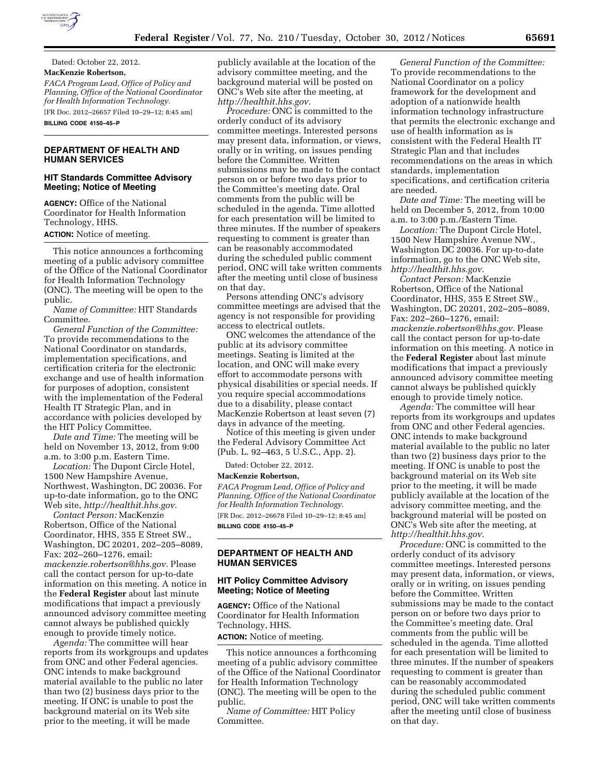

Dated: October 22, 2012. **MacKenzie Robertson,**  *FACA Program Lead, Office of Policy and Planning, Office of the National Coordinator for Health Information Technology.*  [FR Doc. 2012–26657 Filed 10–29–12; 8:45 am]

**BILLING CODE 4150–45–P** 

## **DEPARTMENT OF HEALTH AND HUMAN SERVICES**

### **HIT Standards Committee Advisory Meeting; Notice of Meeting**

**AGENCY:** Office of the National Coordinator for Health Information Technology, HHS.

### **ACTION:** Notice of meeting.

This notice announces a forthcoming meeting of a public advisory committee of the Office of the National Coordinator for Health Information Technology (ONC). The meeting will be open to the public.

*Name of Committee:* HIT Standards Committee.

*General Function of the Committee:*  To provide recommendations to the National Coordinator on standards, implementation specifications, and certification criteria for the electronic exchange and use of health information for purposes of adoption, consistent with the implementation of the Federal Health IT Strategic Plan, and in accordance with policies developed by the HIT Policy Committee.

*Date and Time:* The meeting will be held on November 13, 2012, from 9:00 a.m. to 3:00 p.m. Eastern Time.

*Location:* The Dupont Circle Hotel, 1500 New Hampshire Avenue, Northwest, Washington, DC 20036. For up-to-date information, go to the ONC Web site, *[http://healthit.hhs.gov.](http://healthit.hhs.gov)* 

*Contact Person:* MacKenzie Robertson, Office of the National Coordinator, HHS, 355 E Street SW., Washington, DC 20201, 202–205–8089, Fax: 202–260–1276, email: *[mackenzie.robertson@hhs.gov.](mailto:mackenzie.robertson@hhs.gov)* Please call the contact person for up-to-date information on this meeting. A notice in the **Federal Register** about last minute modifications that impact a previously announced advisory committee meeting cannot always be published quickly enough to provide timely notice.

*Agenda:* The committee will hear reports from its workgroups and updates from ONC and other Federal agencies. ONC intends to make background material available to the public no later than two (2) business days prior to the meeting. If ONC is unable to post the background material on its Web site prior to the meeting, it will be made

publicly available at the location of the advisory committee meeting, and the background material will be posted on ONC's Web site after the meeting, at *[http://healthit.hhs.gov.](http://healthit.hhs.gov)* 

*Procedure:* ONC is committed to the orderly conduct of its advisory committee meetings. Interested persons may present data, information, or views, orally or in writing, on issues pending before the Committee. Written submissions may be made to the contact person on or before two days prior to the Committee's meeting date. Oral comments from the public will be scheduled in the agenda. Time allotted for each presentation will be limited to three minutes. If the number of speakers requesting to comment is greater than can be reasonably accommodated during the scheduled public comment period, ONC will take written comments after the meeting until close of business on that day.

Persons attending ONC's advisory committee meetings are advised that the agency is not responsible for providing access to electrical outlets.

ONC welcomes the attendance of the public at its advisory committee meetings. Seating is limited at the location, and ONC will make every effort to accommodate persons with physical disabilities or special needs. If you require special accommodations due to a disability, please contact MacKenzie Robertson at least seven (7) days in advance of the meeting.

Notice of this meeting is given under the Federal Advisory Committee Act (Pub. L. 92–463, 5 U.S.C., App. 2).

Dated: October 22, 2012.

#### **MacKenzie Robertson,**

*FACA Program Lead, Office of Policy and Planning, Office of the National Coordinator for Health Information Technology.*  [FR Doc. 2012–26678 Filed 10–29–12; 8:45 am] **BILLING CODE 4150–45–P** 

## **DEPARTMENT OF HEALTH AND HUMAN SERVICES**

### **HIT Policy Committee Advisory Meeting; Notice of Meeting**

**AGENCY:** Office of the National Coordinator for Health Information Technology, HHS. **ACTION:** Notice of meeting.

This notice announces a forthcoming meeting of a public advisory committee of the Office of the National Coordinator for Health Information Technology

(ONC). The meeting will be open to the public. *Name of Committee:* HIT Policy Committee.

*General Function of the Committee:*  To provide recommendations to the National Coordinator on a policy framework for the development and adoption of a nationwide health information technology infrastructure that permits the electronic exchange and use of health information as is consistent with the Federal Health IT Strategic Plan and that includes recommendations on the areas in which standards, implementation specifications, and certification criteria are needed.

*Date and Time:* The meeting will be held on December 5, 2012, from 10:00 a.m. to 3:00 p.m./Eastern Time.

*Location:* The Dupont Circle Hotel, 1500 New Hampshire Avenue NW., Washington DC 20036. For up-to-date information, go to the ONC Web site, *[http://healthit.hhs.gov.](http://healthit.hhs.gov)* 

*Contact Person:* MacKenzie Robertson, Office of the National Coordinator, HHS, 355 E Street SW., Washington, DC 20201, 202–205–8089, Fax: 202–260–1276, email: *[mackenzie.robertson@hhs.gov.](mailto:mackenzie.robertson@hhs.gov)* Please call the contact person for up-to-date information on this meeting. A notice in the **Federal Register** about last minute modifications that impact a previously announced advisory committee meeting cannot always be published quickly enough to provide timely notice.

*Agenda:* The committee will hear reports from its workgroups and updates from ONC and other Federal agencies. ONC intends to make background material available to the public no later than two (2) business days prior to the meeting. If ONC is unable to post the background material on its Web site prior to the meeting, it will be made publicly available at the location of the advisory committee meeting, and the background material will be posted on ONC's Web site after the meeting, at *[http://healthit.hhs.gov.](http://healthit.hhs.gov)* 

*Procedure:* ONC is committed to the orderly conduct of its advisory committee meetings. Interested persons may present data, information, or views, orally or in writing, on issues pending before the Committee. Written submissions may be made to the contact person on or before two days prior to the Committee's meeting date. Oral comments from the public will be scheduled in the agenda. Time allotted for each presentation will be limited to three minutes. If the number of speakers requesting to comment is greater than can be reasonably accommodated during the scheduled public comment period, ONC will take written comments after the meeting until close of business on that day.